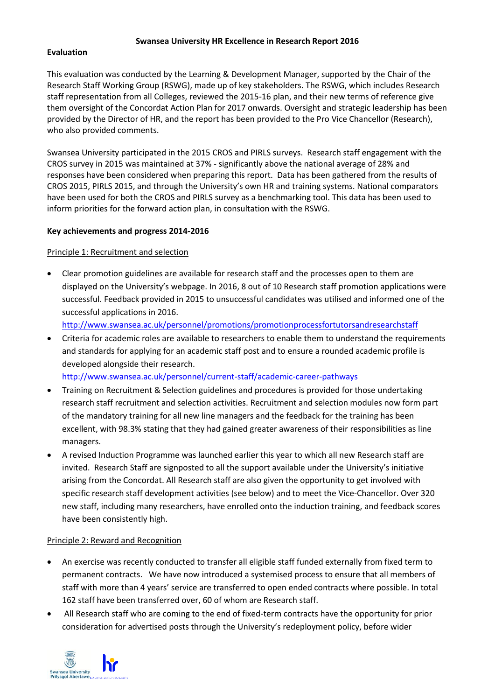#### **Swansea University HR Excellence in Research Report 2016**

#### **Evaluation**

This evaluation was conducted by the Learning & Development Manager, supported by the Chair of the Research Staff Working Group (RSWG), made up of key stakeholders. The RSWG, which includes Research staff representation from all Colleges, reviewed the 2015-16 plan, and their new terms of reference give them oversight of the Concordat Action Plan for 2017 onwards. Oversight and strategic leadership has been provided by the Director of HR, and the report has been provided to the Pro Vice Chancellor (Research), who also provided comments.

Swansea University participated in the 2015 CROS and PIRLS surveys. Research staff engagement with the CROS survey in 2015 was maintained at 37% - significantly above the national average of 28% and responses have been considered when preparing this report. Data has been gathered from the results of CROS 2015, PIRLS 2015, and through the University's own HR and training systems. National comparators have been used for both the CROS and PIRLS survey as a benchmarking tool. This data has been used to inform priorities for the forward action plan, in consultation with the RSWG.

### **Key achievements and progress 2014-2016**

### Principle 1: Recruitment and selection

 Clear promotion guidelines are available for research staff and the processes open to them are displayed on the University's webpage. In 2016, 8 out of 10 Research staff promotion applications were successful. Feedback provided in 2015 to unsuccessful candidates was utilised and informed one of the successful applications in 2016.

<http://www.swansea.ac.uk/personnel/promotions/promotionprocessfortutorsandresearchstaff>

 Criteria for academic roles are available to researchers to enable them to understand the requirements and standards for applying for an academic staff post and to ensure a rounded academic profile is developed alongside their research.

<http://www.swansea.ac.uk/personnel/current-staff/academic-career-pathways>

- Training on Recruitment & Selection guidelines and procedures is provided for those undertaking research staff recruitment and selection activities. Recruitment and selection modules now form part of the mandatory training for all new line managers and the feedback for the training has been excellent, with 98.3% stating that they had gained greater awareness of their responsibilities as line managers.
- A revised Induction Programme was launched earlier this year to which all new Research staff are invited. Research Staff are signposted to all the support available under the University's initiative arising from the Concordat. All Research staff are also given the opportunity to get involved with specific research staff development activities (see below) and to meet the Vice-Chancellor. Over 320 new staff, including many researchers, have enrolled onto the induction training, and feedback scores have been consistently high.

### Principle 2: Reward and Recognition

- An exercise was recently conducted to transfer all eligible staff funded externally from fixed term to permanent contracts. We have now introduced a systemised process to ensure that all members of staff with more than 4 years' service are transferred to open ended contracts where possible. In total 162 staff have been transferred over, 60 of whom are Research staff.
- All Research staff who are coming to the end of fixed-term contracts have the opportunity for prior consideration for advertised posts through the University's redeployment policy, before wider

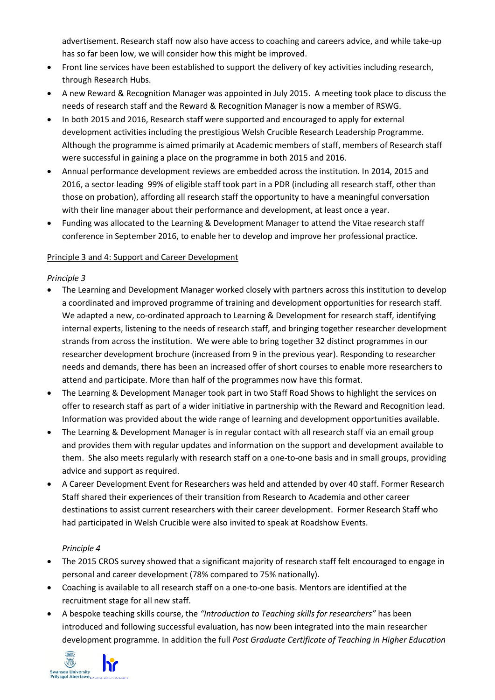advertisement. Research staff now also have access to coaching and careers advice, and while take-up has so far been low, we will consider how this might be improved.

- Front line services have been established to support the delivery of key activities including research, through Research Hubs.
- A new Reward & Recognition Manager was appointed in July 2015. A meeting took place to discuss the needs of research staff and the Reward & Recognition Manager is now a member of RSWG.
- In both 2015 and 2016, Research staff were supported and encouraged to apply for external development activities including the prestigious Welsh Crucible Research Leadership Programme. Although the programme is aimed primarily at Academic members of staff, members of Research staff were successful in gaining a place on the programme in both 2015 and 2016.
- Annual performance development reviews are embedded across the institution. In 2014, 2015 and 2016, a sector leading 99% of eligible staff took part in a PDR (including all research staff, other than those on probation), affording all research staff the opportunity to have a meaningful conversation with their line manager about their performance and development, at least once a year.
- Funding was allocated to the Learning & Development Manager to attend the Vitae research staff conference in September 2016, to enable her to develop and improve her professional practice.

## Principle 3 and 4: Support and Career Development

## *Principle 3*

- The Learning and Development Manager worked closely with partners across this institution to develop a coordinated and improved programme of training and development opportunities for research staff. We adapted a new, co-ordinated approach to Learning & Development for research staff, identifying internal experts, listening to the needs of research staff, and bringing together researcher development strands from across the institution. We were able to bring together 32 distinct programmes in our researcher development brochure (increased from 9 in the previous year). Responding to researcher needs and demands, there has been an increased offer of short courses to enable more researchers to attend and participate. More than half of the programmes now have this format.
- The Learning & Development Manager took part in two Staff Road Shows to highlight the services on offer to research staff as part of a wider initiative in partnership with the Reward and Recognition lead. Information was provided about the wide range of learning and development opportunities available.
- The Learning & Development Manager is in regular contact with all research staff via an email group and provides them with regular updates and information on the support and development available to them. She also meets regularly with research staff on a one-to-one basis and in small groups, providing advice and support as required.
- A Career Development Event for Researchers was held and attended by over 40 staff. Former Research Staff shared their experiences of their transition from Research to Academia and other career destinations to assist current researchers with their career development. Former Research Staff who had participated in Welsh Crucible were also invited to speak at Roadshow Events.

### *Principle 4*

- The 2015 CROS survey showed that a significant majority of research staff felt encouraged to engage in personal and career development (78% compared to 75% nationally).
- Coaching is available to all research staff on a one-to-one basis. Mentors are identified at the recruitment stage for all new staff.
- A bespoke teaching skills course, the *"Introduction to Teaching skills for researchers"* has been introduced and following successful evaluation, has now been integrated into the main researcher development programme. In addition the full *Post Graduate Certificate of Teaching in Higher Education*

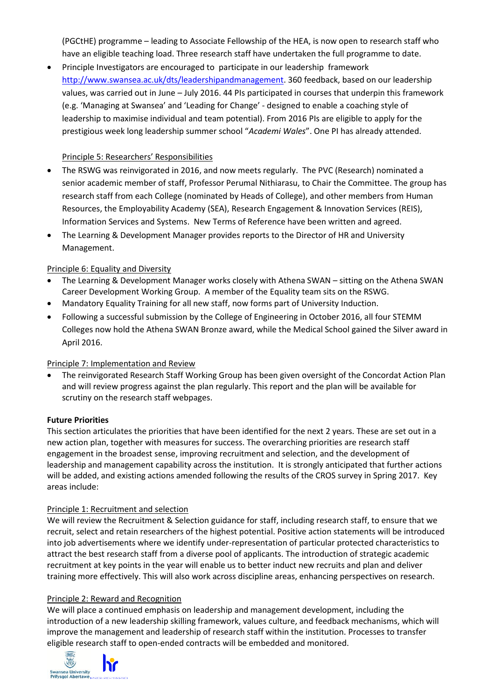(PGCtHE) programme – leading to Associate Fellowship of the HEA, is now open to research staff who have an eligible teaching load. Three research staff have undertaken the full programme to date.

 Principle Investigators are encouraged to participate in our leadership framework [http://www.swansea.ac.uk/dts/leadershipandmanagement.](http://www.swansea.ac.uk/dts/leadershipandmanagement) 360 feedback, based on our leadership values, was carried out in June – July 2016. 44 PIs participated in courses that underpin this framework (e.g. 'Managing at Swansea' and 'Leading for Change' - designed to enable a coaching style of leadership to maximise individual and team potential). From 2016 PIs are eligible to apply for the prestigious week long leadership summer school "*Academi Wales*". One PI has already attended.

# Principle 5: Researchers' Responsibilities

- The RSWG was reinvigorated in 2016, and now meets regularly. The PVC (Research) nominated a senior academic member of staff, Professor Perumal Nithiarasu, to Chair the Committee. The group has research staff from each College (nominated by Heads of College), and other members from Human Resources, the Employability Academy (SEA), Research Engagement & Innovation Services (REIS), Information Services and Systems. New Terms of Reference have been written and agreed.
- The Learning & Development Manager provides reports to the Director of HR and University Management.

# Principle 6: Equality and Diversity

- The Learning & Development Manager works closely with Athena SWAN sitting on the Athena SWAN Career Development Working Group. A member of the Equality team sits on the RSWG.
- Mandatory Equality Training for all new staff, now forms part of University Induction.
- Following a successful submission by the College of Engineering in October 2016, all four STEMM Colleges now hold the Athena SWAN Bronze award, while the Medical School gained the Silver award in April 2016.

# Principle 7: Implementation and Review

 The reinvigorated Research Staff Working Group has been given oversight of the Concordat Action Plan and will review progress against the plan regularly. This report and the plan will be available for scrutiny on the research staff webpages.

# **Future Priorities**

This section articulates the priorities that have been identified for the next 2 years. These are set out in a new action plan, together with measures for success. The overarching priorities are research staff engagement in the broadest sense, improving recruitment and selection, and the development of leadership and management capability across the institution. It is strongly anticipated that further actions will be added, and existing actions amended following the results of the CROS survey in Spring 2017. Key areas include:

# Principle 1: Recruitment and selection

We will review the Recruitment & Selection guidance for staff, including research staff, to ensure that we recruit, select and retain researchers of the highest potential. Positive action statements will be introduced into job advertisements where we identify under-representation of particular protected characteristics to attract the best research staff from a diverse pool of applicants. The introduction of strategic academic recruitment at key points in the year will enable us to better induct new recruits and plan and deliver training more effectively. This will also work across discipline areas, enhancing perspectives on research.

# Principle 2: Reward and Recognition

We will place a continued emphasis on leadership and management development, including the introduction of a new leadership skilling framework, values culture, and feedback mechanisms, which will improve the management and leadership of research staff within the institution. Processes to transfer eligible research staff to open-ended contracts will be embedded and monitored.